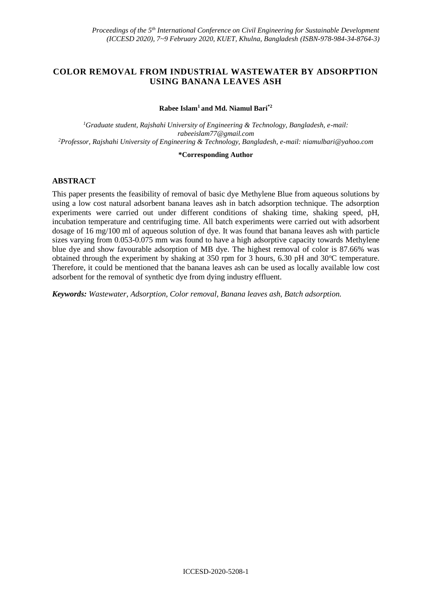# **COLOR REMOVAL FROM INDUSTRIAL WASTEWATER BY ADSORPTION USING BANANA LEAVES ASH**

#### **Rabee Islam<sup>1</sup>and Md. Niamul Bari\*2**

*<sup>1</sup>Graduate student, Rajshahi University of Engineering & Technology, Bangladesh, e-mail: rabeeislam77@gmail.com <sup>2</sup>Professor, Rajshahi University of Engineering & Technology, Bangladesh, e-mail[: niamulbari@yahoo.com](mailto:niamulbari@yahoo.com)*

#### **\*Corresponding Author**

### **ABSTRACT**

This paper presents the feasibility of removal of basic dye Methylene Blue from aqueous solutions by using a low cost natural adsorbent banana leaves ash in batch adsorption technique. The adsorption experiments were carried out under different conditions of shaking time, shaking speed, pH, incubation temperature and centrifuging time. All batch experiments were carried out with adsorbent dosage of 16 mg/100 ml of aqueous solution of dye. It was found that banana leaves ash with particle sizes varying from 0.053-0.075 mm was found to have a high adsorptive capacity towards Methylene blue dye and show favourable adsorption of MB dye. The highest removal of color is 87.66% was obtained through the experiment by shaking at 350 rpm for 3 hours, 6.30 pH and  $30^{\circ}$ C temperature. Therefore, it could be mentioned that the banana leaves ash can be used as locally available low cost adsorbent for the removal of synthetic dye from dying industry effluent.

*Keywords: Wastewater, Adsorption, Color removal, Banana leaves ash, Batch adsorption.*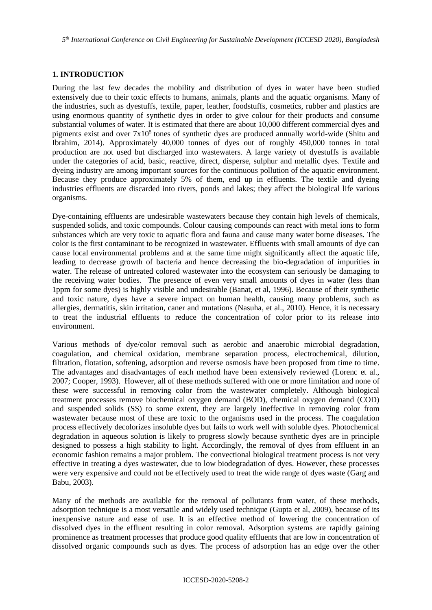*5 th International Conference on Civil Engineering for Sustainable Development (ICCESD 2020), Bangladesh*

### **1. INTRODUCTION**

During the last few decades the mobility and distribution of dyes in water have been studied extensively due to their toxic effects to humans, animals, plants and the aquatic organisms. Many of the industries, such as dyestuffs, textile, paper, leather, foodstuffs, cosmetics, rubber and plastics are using enormous quantity of synthetic dyes in order to give colour for their products and consume substantial volumes of water. It is estimated that there are about 10,000 different commercial dyes and pigments exist and over  $7x10<sup>5</sup>$  tones of synthetic dyes are produced annually world-wide (Shitu and Ibrahim, 2014). Approximately 40,000 tonnes of dyes out of roughly 450,000 tonnes in total production are not used but discharged into wastewaters. A large variety of dyestuffs is available under the categories of acid, basic, reactive, direct, disperse, sulphur and metallic dyes. Textile and dyeing industry are among important sources for the continuous pollution of the aquatic environment. Because they produce approximately 5% of them, end up in effluents. The textile and dyeing industries effluents are discarded into rivers, ponds and lakes; they affect the biological life various organisms.

Dye-containing effluents are undesirable wastewaters because they contain high levels of chemicals, suspended solids, and toxic compounds. Colour causing compounds can react with metal ions to form substances which are very toxic to aquatic flora and fauna and cause many water borne diseases. The color is the first contaminant to be recognized in wastewater. Effluents with small amounts of dye can cause local environmental problems and at the same time might significantly affect the aquatic life, leading to decrease growth of bacteria and hence decreasing the bio-degradation of impurities in water. The release of untreated colored wastewater into the ecosystem can seriously be damaging to the receiving water bodies. The presence of even very small amounts of dyes in water (less than 1ppm for some dyes) is highly visible and undesirable (Banat, et al, 1996). Because of their synthetic and toxic nature, dyes have a severe impact on human health, causing many problems, such as allergies, dermatitis, skin irritation, caner and mutations (Nasuha, et al., 2010). Hence, it is necessary to treat the industrial effluents to reduce the concentration of color prior to its release into environment.

Various methods of dye/color removal such as aerobic and anaerobic microbial degradation, coagulation, and chemical oxidation, membrane separation process, electrochemical, dilution, filtration, flotation, softening, adsorption and reverse osmosis have been proposed from time to time. The advantages and disadvantages of each method have been extensively reviewed (Lorenc et al., 2007; Cooper, 1993). However, all of these methods suffered with one or more limitation and none of these were successful in removing color from the wastewater completely. Although biological treatment processes remove biochemical oxygen demand (BOD), chemical oxygen demand (COD) and suspended solids (SS) to some extent, they are largely ineffective in removing color from wastewater because most of these are toxic to the organisms used in the process. The coagulation process effectively decolorizes insoluble dyes but fails to work well with soluble dyes. Photochemical degradation in aqueous solution is likely to progress slowly because synthetic dyes are in principle designed to possess a high stability to light. Accordingly, the removal of dyes from effluent in an economic fashion remains a major problem. The convectional biological treatment process is not very effective in treating a dyes wastewater, due to low biodegradation of dyes. However, these processes were very expensive and could not be effectively used to treat the wide range of dyes waste (Garg and Babu, 2003).

Many of the methods are available for the removal of pollutants from water, of these methods, adsorption technique is a most versatile and widely used technique (Gupta et al, 2009), because of its inexpensive nature and ease of use. It is an effective method of lowering the concentration of dissolved dyes in the effluent resulting in color removal. Adsorption systems are rapidly gaining prominence as treatment processes that produce good quality effluents that are low in concentration of dissolved organic compounds such as dyes. The process of adsorption has an edge over the other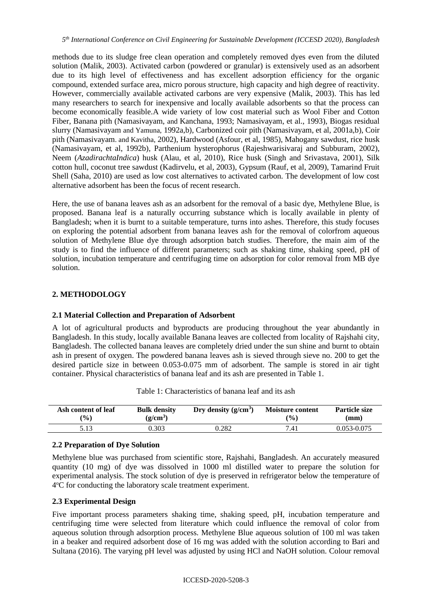methods due to its sludge free clean operation and completely removed dyes even from the diluted solution (Malik, 2003). Activated carbon (powdered or granular) is extensively used as an adsorbent due to its high level of effectiveness and has excellent adsorption efficiency for the organic compound, extended surface area, micro porous structure, high capacity and high degree of reactivity. However, commercially available activated carbons are very expensive (Malik, 2003). This has led many researchers to search for inexpensive and locally available adsorbents so that the process can become economically feasible.A wide variety of low cost material such as Wool Fiber and Cotton Fiber, Banana pith (Namasivayam, and Kanchana, 1993; Namasivayam, et al., 1993), Biogas residual slurry (Namasivayam and Yamuna, 1992a,b), Carbonized coir pith (Namasivayam, et al, 2001a,b), Coir pith (Namasivayam. and Kavitha, 2002), Hardwood (Asfour, et al, 1985), Mahogany sawdust, rice husk (Namasivayam, et al, 1992b), Parthenium hysterophorus (Rajeshwarisivaraj and Subburam, 2002), Neem (*AzadirachtaIndica*) husk (Alau, et al, 2010), Rice husk (Singh and Srivastava, 2001), Silk cotton hull, coconut tree sawdust (Kadirvelu, et al, 2003), Gypsum (Rauf, et al, 2009), Tamarind Fruit Shell (Saha, 2010) are used as low cost alternatives to activated carbon. The development of low cost alternative adsorbent has been the focus of recent research.

Here, the use of banana leaves ash as an adsorbent for the removal of a basic dye, Methylene Blue, is proposed. Banana leaf is a naturally occurring substance which is locally available in plenty of Bangladesh; when it is burnt to a suitable temperature, turns into ashes. Therefore, this study focuses on exploring the potential adsorbent from banana leaves ash for the removal of colorfrom aqueous solution of Methylene Blue dye through adsorption batch studies. Therefore, the main aim of the study is to find the influence of different parameters; such as shaking time, shaking speed, pH of solution, incubation temperature and centrifuging time on adsorption for color removal from MB dye solution.

## **2. METHODOLOGY**

## **2.1 Material Collection and Preparation of Adsorbent**

A lot of agricultural products and byproducts are producing throughout the year abundantly in Bangladesh. In this study, locally available Banana leaves are collected from locality of Rajshahi city, Bangladesh. The collected banana leaves are completely dried under the sun shine and burnt to obtain ash in present of oxygen. The powdered banana leaves ash is sieved through sieve no. 200 to get the desired particle size in between 0.053-0.075 mm of adsorbent. The sample is stored in air tight container. Physical characteristics of banana leaf and its ash are presented in Table 1.

| Ash content of leaf | <b>Bulk density</b> | Dry density $(g/cm^3)$ | <b>Moisture content</b> | <b>Particle size</b> |
|---------------------|---------------------|------------------------|-------------------------|----------------------|
| $\mathcal{O}(6)$    | $(g/cm^3)$          |                        | $($ %)                  | (mm)                 |
| 5.13                | ).303               | 0.282                  | 7.41                    | $0.053 - 0.075$      |

Table 1: Characteristics of banana leaf and its ash

## **2.2 Preparation of Dye Solution**

Methylene blue was purchased from scientific store, Rajshahi, Bangladesh. An accurately measured quantity (10 mg) of dye was dissolved in 1000 ml distilled water to prepare the solution for experimental analysis. The stock solution of dye is preserved in refrigerator below the temperature of 4°C for conducting the laboratory scale treatment experiment.

## **2.3 Experimental Design**

Five important process parameters shaking time, shaking speed, pH, incubation temperature and centrifuging time were selected from literature which could influence the removal of color from aqueous solution through adsorption process. Methylene Blue aqueous solution of 100 ml was taken in a beaker and required adsorbent dose of 16 mg was added with the solution according to Bari and Sultana (2016). The varying pH level was adjusted by using HCl and NaOH solution. Colour removal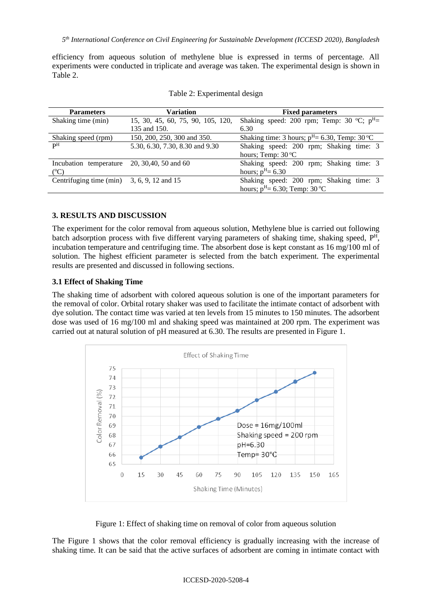*5 th International Conference on Civil Engineering for Sustainable Development (ICCESD 2020), Bangladesh*

efficiency from aqueous solution of methylene blue is expressed in terms of percentage. All experiments were conducted in triplicate and average was taken. The experimental design is shown in Table 2.

| <b>Parameters</b>                            | Variation                         | <b>Fixed parameters</b>                           |
|----------------------------------------------|-----------------------------------|---------------------------------------------------|
| Shaking time (min)                           | 15, 30, 45, 60, 75, 90, 105, 120, | Shaking speed: 200 rpm; Temp: 30 °C; $p^H$ =      |
|                                              | 135 and 150.                      | 6.30                                              |
| Shaking speed (rpm)                          | 150, 200, 250, 300 and 350.       | Shaking time: 3 hours; $p^H = 6.30$ , Temp: 30 °C |
| $\mathbf{p}$ H                               | 5.30, 6.30, 7.30, 8.30 and 9.30   | Shaking speed: 200 rpm; Shaking time: 3           |
|                                              |                                   | hours; Temp: $30^{\circ}$ C                       |
| Incubation temperature                       | 20, 30, 40, 50 and 60             | Shaking speed: 200 rpm; Shaking time: 3           |
| $(^{\circ}C)$                                |                                   | hours; $p^H = 6.30$                               |
| Centrifuging time (min) $3, 6, 9, 12$ and 15 |                                   | Shaking speed: 200 rpm; Shaking time: 3           |
|                                              |                                   | hours; $p^H = 6.30$ ; Temp: 30 °C                 |

## **3. RESULTS AND DISCUSSION**

The experiment for the color removal from aqueous solution, Methylene blue is carried out following batch adsorption process with five different varying parameters of shaking time, shaking speed, P<sup>H</sup>, incubation temperature and centrifuging time. The absorbent dose is kept constant as 16 mg/100 ml of solution. The highest efficient parameter is selected from the batch experiment. The experimental results are presented and discussed in following sections.

## **3.1 Effect of Shaking Time**

The shaking time of adsorbent with colored aqueous solution is one of the important parameters for the removal of color. Orbital rotary shaker was used to facilitate the intimate contact of adsorbent with dye solution. The contact time was varied at ten levels from 15 minutes to 150 minutes. The adsorbent dose was used of 16 mg/100 ml and shaking speed was maintained at 200 rpm. The experiment was carried out at natural solution of pH measured at 6.30. The results are presented in Figure 1.



Figure 1: Effect of shaking time on removal of color from aqueous solution

The Figure 1 shows that the color removal efficiency is gradually increasing with the increase of shaking time. It can be said that the active surfaces of adsorbent are coming in intimate contact with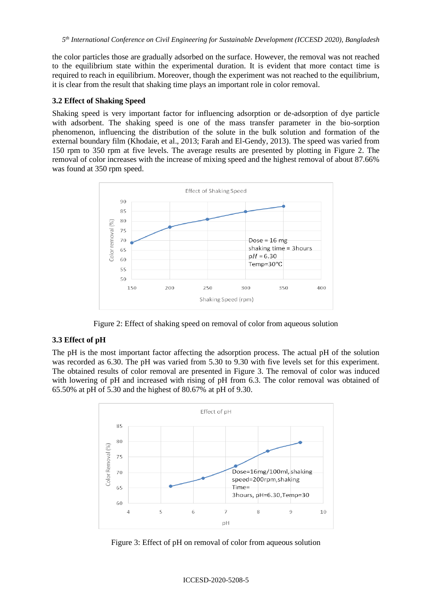the color particles those are gradually adsorbed on the surface. However, the removal was not reached to the equilibrium state within the experimental duration. It is evident that more contact time is required to reach in equilibrium. Moreover, though the experiment was not reached to the equilibrium, it is clear from the result that shaking time plays an important role in color removal.

### **3.2 Effect of Shaking Speed**

Shaking speed is very important factor for influencing adsorption or de-adsorption of dye particle with adsorbent. The shaking speed is one of the mass transfer parameter in the bio-sorption phenomenon, influencing the distribution of the solute in the bulk solution and formation of the external boundary film (Khodaie, et al., 2013; Farah and El-Gendy, 2013). The speed was varied from 150 rpm to 350 rpm at five levels. The average results are presented by plotting in Figure 2. The removal of color increases with the increase of mixing speed and the highest removal of about 87.66% was found at 350 rpm speed.



Figure 2: Effect of shaking speed on removal of color from aqueous solution

## **3.3 Effect of pH**

The pH is the most important factor affecting the adsorption process. The actual pH of the solution was recorded as 6.30. The pH was varied from 5.30 to 9.30 with five levels set for this experiment. The obtained results of color removal are presented in Figure 3. The removal of color was induced with lowering of pH and increased with rising of pH from 6.3. The color removal was obtained of 65.50% at pH of 5.30 and the highest of 80.67% at pH of 9.30.



Figure 3: Effect of pH on removal of color from aqueous solution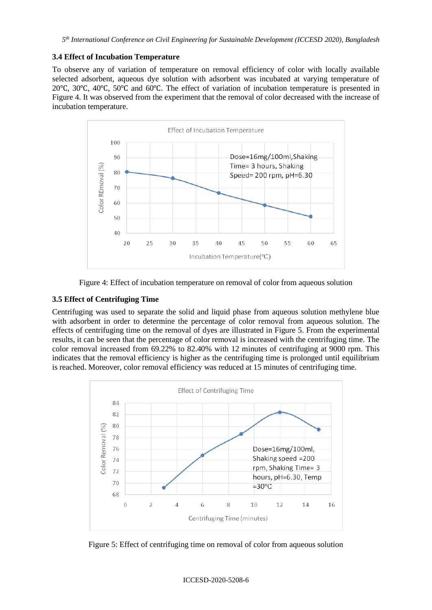### **3.4 Effect of Incubation Temperature**

To observe any of variation of temperature on removal efficiency of color with locally available selected adsorbent, aqueous dye solution with adsorbent was incubated at varying temperature of 20℃, 30℃, 40℃, 50℃ and 60℃. The effect of variation of incubation temperature is presented in Figure 4. It was observed from the experiment that the removal of color decreased with the increase of incubation temperature.



Figure 4: Effect of incubation temperature on removal of color from aqueous solution

## **3.5 Effect of Centrifuging Time**

Centrifuging was used to separate the solid and liquid phase from aqueous solution methylene blue with adsorbent in order to determine the percentage of color removal from aqueous solution. The effects of centrifuging time on the removal of dyes are illustrated in Figure 5. From the experimental results, it can be seen that the percentage of color removal is increased with the centrifuging time. The color removal increased from 69.22% to 82.40% with 12 minutes of centrifuging at 9000 rpm. This indicates that the removal efficiency is higher as the centrifuging time is prolonged until equilibrium is reached. Moreover, color removal efficiency was reduced at 15 minutes of centrifuging time.



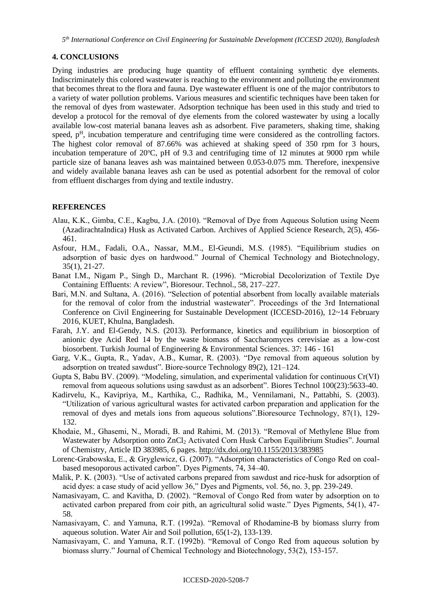### **4. CONCLUSIONS**

Dying industries are producing huge quantity of effluent containing synthetic dye elements. Indiscriminately this colored wastewater is reaching to the environment and polluting the environment that becomes threat to the flora and fauna. Dye wastewater effluent is one of the major contributors to a variety of water pollution problems. Various measures and scientific techniques have been taken for the removal of dyes from wastewater. Adsorption technique has been used in this study and tried to develop a protocol for the removal of dye elements from the colored wastewater by using a locally available low-cost material banana leaves ash as adsorbent. Five parameters, shaking time, shaking speed,  $p<sup>H</sup>$ , incubation temperature and centrifuging time were considered as the controlling factors. The highest color removal of 87.66% was achieved at shaking speed of 350 rpm for 3 hours, incubation temperature of  $20^{\circ}$ C, pH of 9.3 and centrifuging time of 12 minutes at 9000 rpm while particle size of banana leaves ash was maintained between 0.053-0.075 mm. Therefore, inexpensive and widely available banana leaves ash can be used as potential adsorbent for the removal of color from effluent discharges from dying and textile industry.

## **REFERENCES**

- Alau, K.K., Gimba, C.E., Kagbu, J.A. (2010). "Removal of Dye from Aqueous Solution using Neem (AzadirachtaIndica) Husk as Activated Carbon. Archives of Applied Science Research, 2(5), 456- 461.
- Asfour, H.M., Fadali, O.A., Nassar, M.M., El-Geundi, M.S. (1985). "Equilibrium studies on adsorption of basic dyes on hardwood." Journal of Chemical Technology and Biotechnology, 35(1), 21-27.
- Banat I.M., Nigam P., Singh D., Marchant R. (1996). "Microbial Decolorization of Textile Dye Containing Effluents: A review", Bioresour. Technol., 58, 217–227.
- Bari, M.N. and Sultana, A. (2016). "Selection of potential absorbent from locally available materials for the removal of color from the industrial wastewater". Proceedings of the 3rd International Conference on Civil Engineering for Sustainable Development (ICCESD-2016), 12~14 February 2016, KUET, Khulna, Bangladesh.
- Farah, J.Y. and El-Gendy, N.S. (2013). Performance, kinetics and equilibrium in biosorption of anionic dye Acid Red 14 by the waste biomass of Saccharomyces cerevisiae as a low-cost biosorbent. Turkish Journal of Engineering & Environmental Sciences. 37: 146 - 161
- Garg, V.K., Gupta, R., Yadav, A.B., Kumar, R. (2003). "Dye removal from aqueous solution by adsorption on treated sawdust". Biore-source Technology 89(2), 121–124.
- Gupta S, Babu BV. (2009). "Modeling, simulation, and experimental validation for continuous Cr(VI) removal from aqueous solutions using sawdust as an adsorbent". Biores Technol 100(23):5633-40.
- Kadirvelu, K., Kavipriya, M., Karthika, C., Radhika, M., Vennilamani, N., Pattabhi, S. (2003). "Utilization of various agricultural wastes for activated carbon preparation and application for the removal of dyes and metals ions from aqueous solutions".Bioresource Technology, 87(1), 129- 132.
- Khodaie, M., Ghasemi, N., Moradi, B. and Rahimi, M. (2013). "Removal of Methylene Blue from Wastewater by Adsorption onto ZnCl<sup>2</sup> Activated Corn Husk Carbon Equilibrium Studies". Journal of Chemistry, Article ID 383985, 6 pages.<http://dx.doi.org/10.1155/2013/383985>
- Lorenc-Grabowska, E., & Gryglewicz, G. (2007). "Adsorption characteristics of Congo Red on coalbased mesoporous activated carbon". Dyes Pigments, 74, 34–40.
- Malik, P. K. (2003). "Use of activated carbons prepared from sawdust and rice-husk for adsorption of acid dyes: a case study of acid yellow 36," Dyes and Pigments, vol. 56, no. 3, pp. 239-249.
- Namasivayam, C. and Kavitha, D. (2002). "Removal of Congo Red from water by adsorption on to activated carbon prepared from coir pith, an agricultural solid waste." Dyes Pigments, 54(1), 47- 58.
- Namasivayam, C. and Yamuna, R.T. (1992a). "Removal of Rhodamine-B by biomass slurry from aqueous solution. Water Air and Soil pollution, 65(1-2), 133-139.
- Namasivayam, C. and Yamuna, R.T. (1992b). "Removal of Congo Red from aqueous solution by biomass slurry." Journal of Chemical Technology and Biotechnology, 53(2), 153-157.